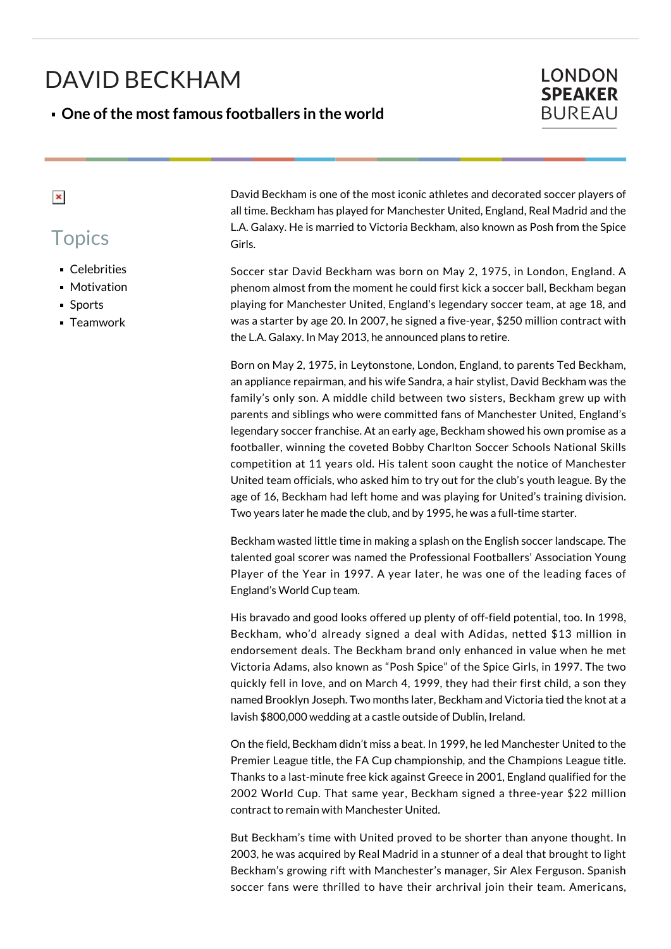# DAVID BECKHAM

#### **One of the most famous footballers in the world**

### **LONDON SPEAKER BUREAU**

#### $\pmb{\times}$

## **Topics**

- **Celebrities**
- Motivation
- Sports
- **Teamwork**

David Beckham is one of the most iconic athletes and decorated soccer players of all time. Beckham has played for Manchester United, England, Real Madrid and the L.A. Galaxy. He is married to Victoria Beckham, also known as Posh from the Spice Girls.

Soccer star David Beckham was born on May 2, 1975, in London, England. A phenom almost from the moment he could first kick a soccer ball, Beckham began playing for Manchester United, England's legendary soccer team, at age 18, and was a starter by age 20. In 2007, he signed a five-year, \$250 million contract with the L.A. Galaxy. In May 2013, he announced plans to retire.

Born on May 2, 1975, in Leytonstone, London, England, to parents Ted Beckham, an appliance repairman, and his wife Sandra, a hair stylist, David Beckham was the family's only son. A middle child between two sisters, Beckham grew up with parents and siblings who were committed fans of Manchester United, England's legendary soccer franchise. At an early age, Beckham showed his own promise as a footballer, winning the coveted Bobby Charlton Soccer Schools National Skills competition at 11 years old. His talent soon caught the notice of Manchester United team officials, who asked him to try out for the club's youth league. By the age of 16, Beckham had left home and was playing for United's training division. Two years later he made the club, and by 1995, he was a full-time starter.

Beckham wasted little time in making a splash on the English soccer landscape. The talented goal scorer was named the Professional Footballers' Association Young Player of the Year in 1997. A year later, he was one of the leading faces of England's World Cup team.

His bravado and good looks offered up plenty of off-field potential, too. In 1998, Beckham, who'd already signed a deal with Adidas, netted \$13 million in endorsement deals. The Beckham brand only enhanced in value when he met Victoria Adams, also known as "Posh Spice" of the Spice Girls, in 1997. The two quickly fell in love, and on March 4, 1999, they had their first child, a son they named Brooklyn Joseph. Two months later, Beckham and Victoria tied the knot at a lavish \$800,000 wedding at a castle outside of Dublin, Ireland.

On the field, Beckham didn't miss a beat. In 1999, he led Manchester United to the Premier League title, the FA Cup championship, and the Champions League title. Thanks to a last-minute free kick against Greece in 2001, England qualified for the 2002 World Cup. That same year, Beckham signed a three-year \$22 million contract to remain with Manchester United.

But Beckham's time with United proved to be shorter than anyone thought. In 2003, he was acquired by Real Madrid in a stunner of a deal that brought to light Beckham's growing rift with Manchester's manager, Sir Alex Ferguson. Spanish soccer fans were thrilled to have their archrival join their team. Americans,